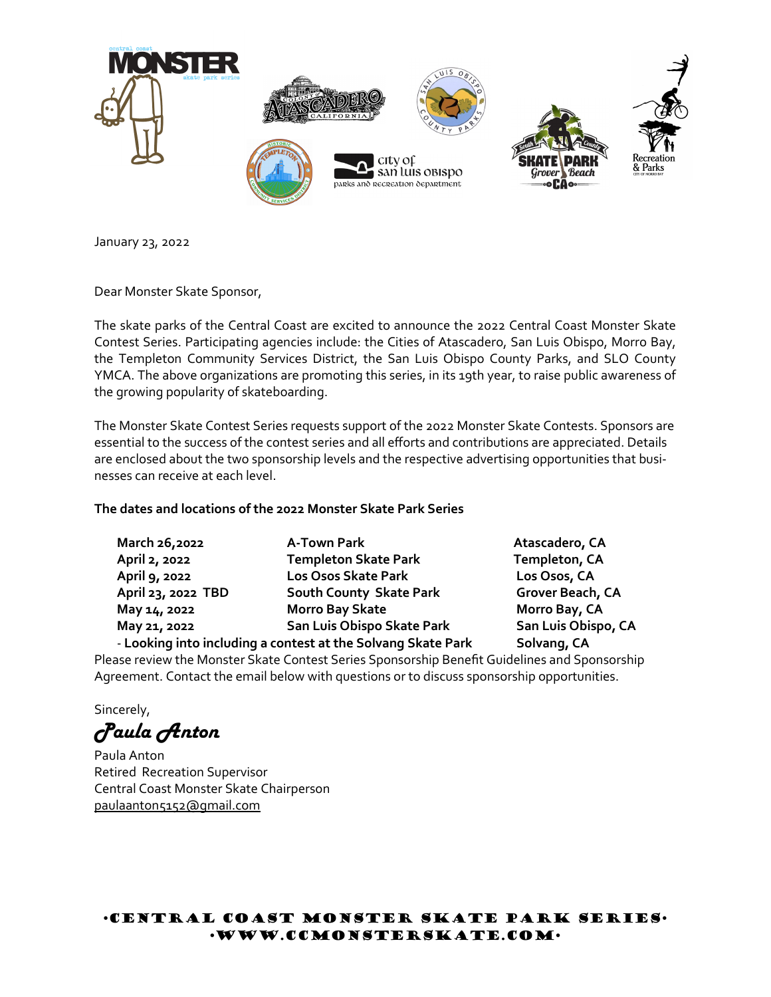

January 23, 2022

Dear Monster Skate Sponsor,

The skate parks of the Central Coast are excited to announce the 2022 Central Coast Monster Skate Contest Series. Participating agencies include: the Cities of Atascadero, San Luis Obispo, Morro Bay, the Templeton Community Services District, the San Luis Obispo County Parks, and SLO County YMCA. The above organizations are promoting this series, in its 19th year, to raise public awareness of the growing popularity of skateboarding.

The Monster Skate Contest Series requests support of the 2022 Monster Skate Contests. Sponsors are essential to the success of the contest series and all efforts and contributions are appreciated. Details are enclosed about the two sponsorship levels and the respective advertising opportunities that businesses can receive at each level.

## **The dates and locations of the 2022 Monster Skate Park Series**

**March 26,2022 A-Town Park Atascadero, CA April 2, 2022 Templeton Skate Park Templeton, CA April 9, 2022 Los Osos Skate Park Los Osos, CA April 23, 2022 TBD South County Skate Park Grover Beach, CA May 14, 2022 Morro Bay Skate Morro Bay, CA May 21, 2022 San Luis Obispo Skate Park San Luis Obispo, CA** - Looking into including a contest at the Solvang Skate Park Solvang, CA

Please review the Monster Skate Contest Series Sponsorship Benefit Guidelines and Sponsorship Agreement. Contact the email below with questions or to discuss sponsorship opportunities.

Sincerely,

*Paula Anton*

Paula Anton Retired Recreation Supervisor Central Coast Monster Skate Chairperson paulaanton5152@gmail.com

## Central Coast Monster Skate Park Series www.ccmonsterskate.com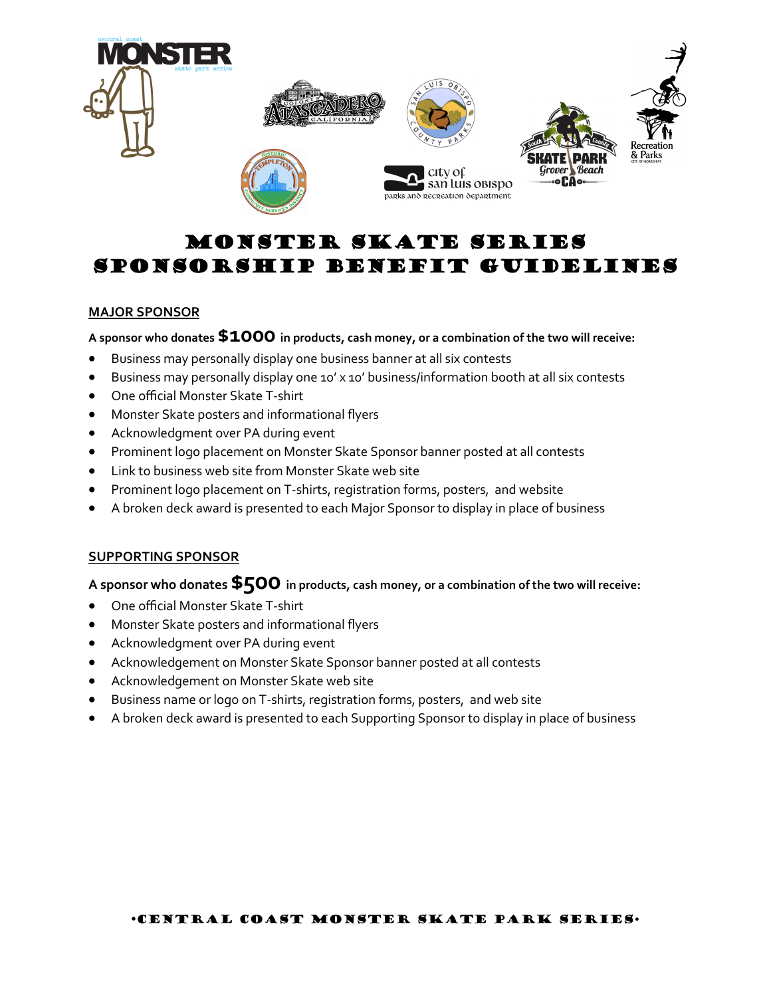

# MONSTER SKATE SERIES SPONSORSHIP BENEFIT GUIDELINES

### **MAJOR SPONSOR**

**A sponsor who donates \$1000 in products, cash money, or a combination of the two will receive:**

- Business may personally display one business banner at all six contests
- Business may personally display one 10' x 10' business/information booth at all six contests
- One official Monster Skate T-shirt
- Monster Skate posters and informational flyers
- Acknowledgment over PA during event
- Prominent logo placement on Monster Skate Sponsor banner posted at all contests
- Link to business web site from Monster Skate web site
- Prominent logo placement on T-shirts, registration forms, posters, and website
- A broken deck award is presented to each Major Sponsor to display in place of business

#### **SUPPORTING SPONSOR**

**A sponsor who donates \$500 in products, cash money, or a combination of the two will receive:**

- One official Monster Skate T-shirt
- Monster Skate posters and informational flyers
- Acknowledgment over PA during event
- Acknowledgement on Monster Skate Sponsor banner posted at all contests
- Acknowledgement on Monster Skate web site
- Business name or logo on T-shirts, registration forms, posters, and web site
- A broken deck award is presented to each Supporting Sponsor to display in place of business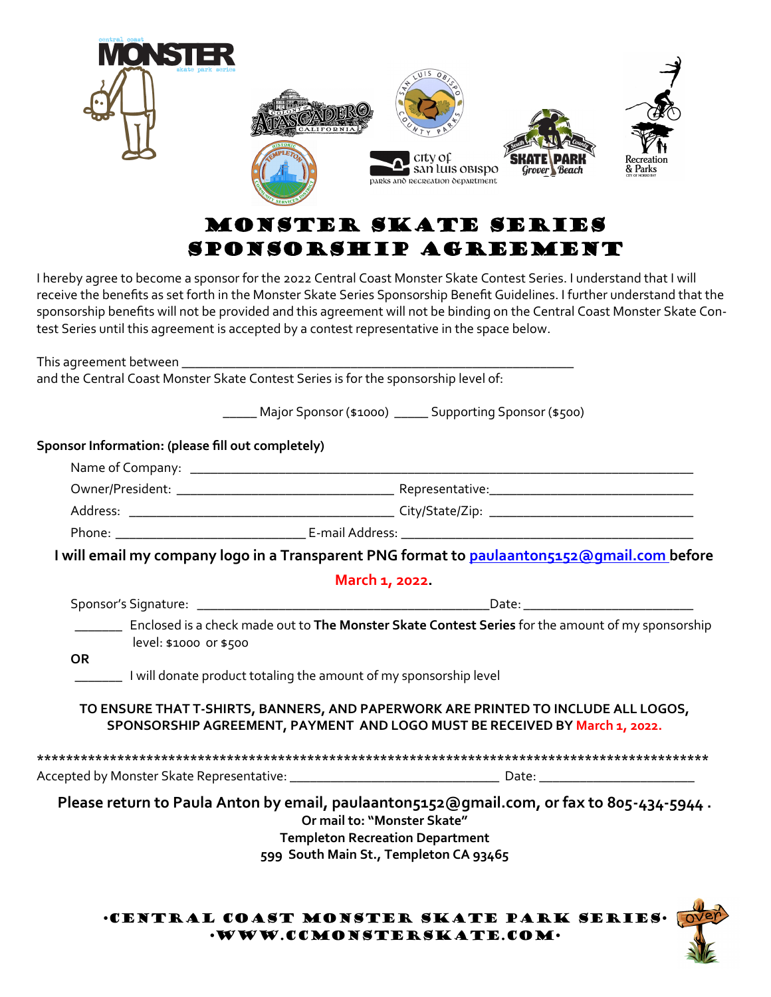